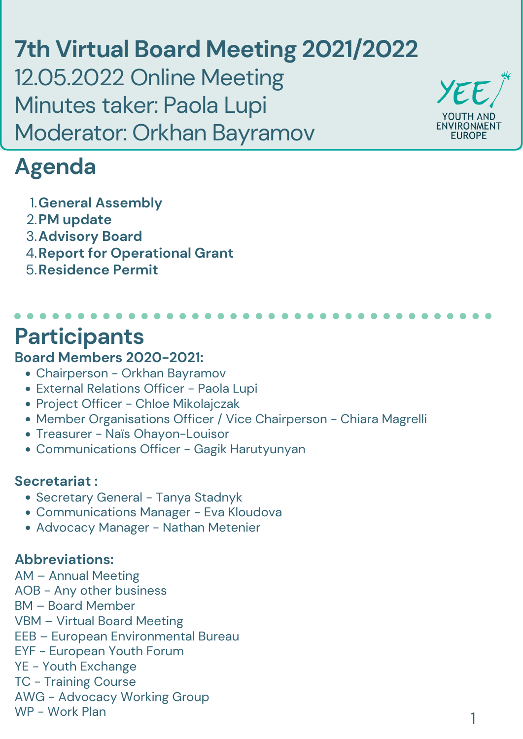#### **Board Members 2020-2021:**

- Chairperson Orkhan Bayramov
- External Relations Officer Paola Lupi
- Project Officer Chloe Mikolajczak
- Member Organisations Officer / Vice Chairperson Chiara Magrelli
- Treasurer Naïs Ohayon-Louisor
- Communications Officer Gagik Harutyunyan

#### **Secretariat :**

- Secretary General Tanya Stadnyk
- Communications Manager Eva Kloudova
- Advocacy Manager Nathan Metenier

#### **Abbreviations:**

AM – Annual Meeting AOB - Any other business BM – Board Member VBM – Virtual Board Meeting EEB – European Environmental Bureau EYF - European Youth Forum YE - Youth Exchange TC - Training Course AWG - Advocacy Working Group WP - Work Plan

# **Participants**

**7th Virtual Board Meeting 2021/2022** 12.05.2022 Online Meeting Minutes taker: Paola Lupi Moderator: Orkhan Bayramov



## **Agenda**

**General Assembly** 1. **PM update** 2. **Advisory Board** 3. **A. Report for Operational Grant Residence Permit** 5.

1